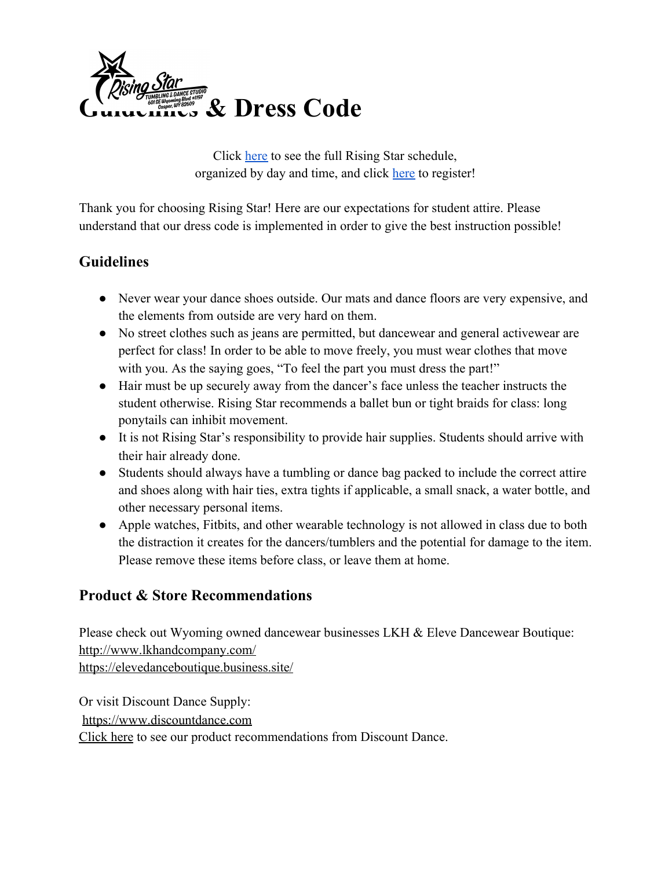

Click [here](https://dancestudio-pro.com/apps/api_classes.php?id=zaqlxajd29jd25758ae69affcc09jasdklj21dx5758ae69b0073) to see the full Rising Star schedule, organized by day and time, and click [here](https://dancestudio-pro.com/online/index.php?account_id=5763) to register!

Thank you for choosing Rising Star! Here are our expectations for student attire. Please understand that our dress code is implemented in order to give the best instruction possible!

# **Guidelines**

- Never wear your dance shoes outside. Our mats and dance floors are very expensive, and the elements from outside are very hard on them.
- No street clothes such as jeans are permitted, but dancewear and general activewear are perfect for class! In order to be able to move freely, you must wear clothes that move with you. As the saying goes, "To feel the part you must dress the part!"
- Hair must be up securely away from the dancer's face unless the teacher instructs the student otherwise. Rising Star recommends a ballet bun or tight braids for class: long ponytails can inhibit movement.
- It is not Rising Star's responsibility to provide hair supplies. Students should arrive with their hair already done.
- Students should always have a tumbling or dance bag packed to include the correct attire and shoes along with hair ties, extra tights if applicable, a small snack, a water bottle, and other necessary personal items.
- Apple watches, Fitbits, and other wearable technology is not allowed in class due to both the distraction it creates for the dancers/tumblers and the potential for damage to the item. Please remove these items before class, or leave them at home.

# **Product & Store Recommendations**

Please check out Wyoming owned dancewear businesses LKH & Eleve Dancewear Boutique: <http://www.lkhandcompany.com/> <https://elevedanceboutique.business.site/>

Or visit Discount Dance Supply: [https://www.discountdance.com](https://www.discountdance.com/) [Click here](https://www.discountdance.com/search/teacherid:55412?tp=55412&teacherSearch=Rising%20Star) to see our product recommendations from Discount Dance.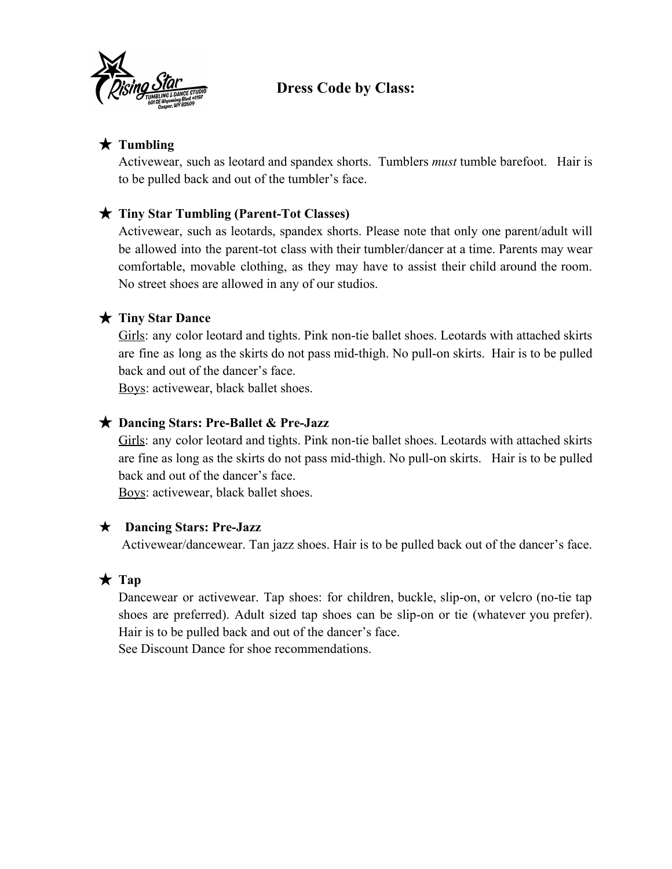

## **Dress Code by Class:**

### ★ **Tumbling**

Activewear, such as leotard and spandex shorts. Tumblers *must* tumble barefoot. Hair is to be pulled back and out of the tumbler's face.

### ★ **Tiny Star Tumbling (Parent-Tot Classes)**

Activewear, such as leotards, spandex shorts. Please note that only one parent/adult will be allowed into the parent-tot class with their tumbler/dancer at a time. Parents may wear comfortable, movable clothing, as they may have to assist their child around the room. No street shoes are allowed in any of our studios.

#### ★ **Tiny Star Dance**

Girls: any color leotard and tights. Pink non-tie ballet shoes. Leotards with attached skirts are fine as long as the skirts do not pass mid-thigh. No pull-on skirts. Hair is to be pulled back and out of the dancer's face.

Boys: activewear, black ballet shoes.

#### ★ **Dancing Stars: Pre-Ballet & Pre-Jazz**

Girls: any color leotard and tights. Pink non-tie ballet shoes. Leotards with attached skirts are fine as long as the skirts do not pass mid-thigh. No pull-on skirts. Hair is to be pulled back and out of the dancer's face.

Boys: activewear, black ballet shoes.

#### ★ **Dancing Stars: Pre-Jazz**

Activewear/dancewear. Tan jazz shoes. Hair is to be pulled back out of the dancer's face.

### ★ **Tap**

Dancewear or activewear. Tap shoes: for children, buckle, slip-on, or velcro (no-tie tap shoes are preferred). Adult sized tap shoes can be slip-on or tie (whatever you prefer). Hair is to be pulled back and out of the dancer's face.

See Discount Dance for shoe recommendations.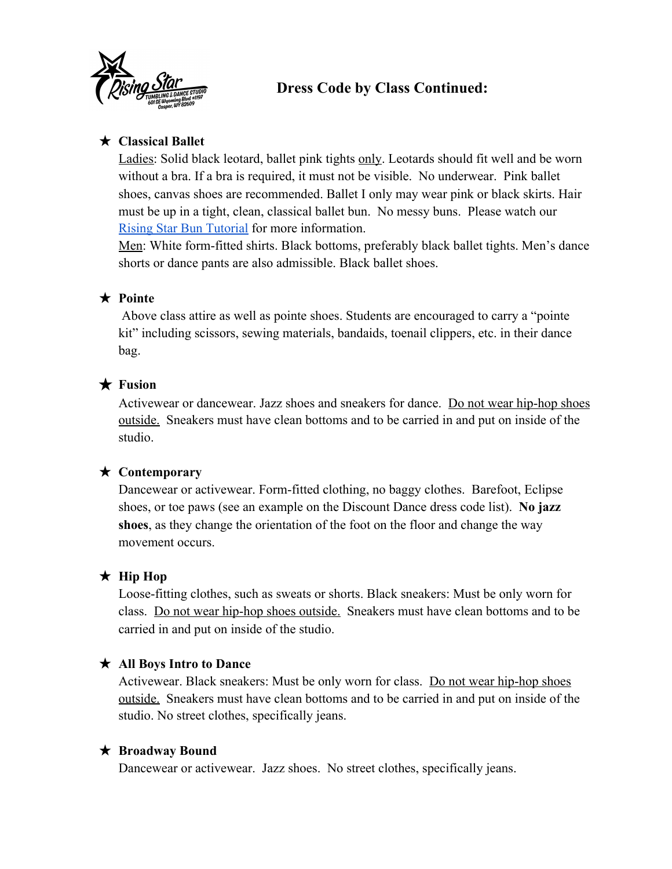

## **Dress Code by Class Continued:**

### ★ **Classical Ballet**

Ladies: Solid black leotard, ballet pink tights only. Leotards should fit well and be worn without a bra. If a bra is required, it must not be visible. No underwear. Pink ballet shoes, canvas shoes are recommended. Ballet I only may wear pink or black skirts. Hair must be up in a tight, clean, classical ballet bun. No messy buns. Please watch our [Rising Star Bun Tutorial](https://youtu.be/xiRlmj6F-ao) for more information.

Men: White form-fitted shirts. Black bottoms, preferably black ballet tights. Men's dance shorts or dance pants are also admissible. Black ballet shoes.

### ★ **Pointe**

 Above class attire as well as pointe shoes. Students are encouraged to carry a "pointe kit" including scissors, sewing materials, bandaids, toenail clippers, etc. in their dance bag.

### ★ **Fusion**

Activewear or dancewear. Jazz shoes and sneakers for dance. Do not wear hip-hop shoes outside. Sneakers must have clean bottoms and to be carried in and put on inside of the studio.

### ★ **Contemporary**

Dancewear or activewear. Form-fitted clothing, no baggy clothes. Barefoot, Eclipse shoes, or toe paws (see an example on the Discount Dance dress code list). **No jazz shoes**, as they change the orientation of the foot on the floor and change the way movement occurs.

### ★ **Hip Hop**

Loose-fitting clothes, such as sweats or shorts. Black sneakers: Must be only worn for class. Do not wear hip-hop shoes outside. Sneakers must have clean bottoms and to be carried in and put on inside of the studio.

### ★ **All Boys Intro to Dance**

Activewear. Black sneakers: Must be only worn for class. Do not wear hip-hop shoes outside. Sneakers must have clean bottoms and to be carried in and put on inside of the studio. No street clothes, specifically jeans.

#### ★ **Broadway Bound**

Dancewear or activewear. Jazz shoes. No street clothes, specifically jeans.